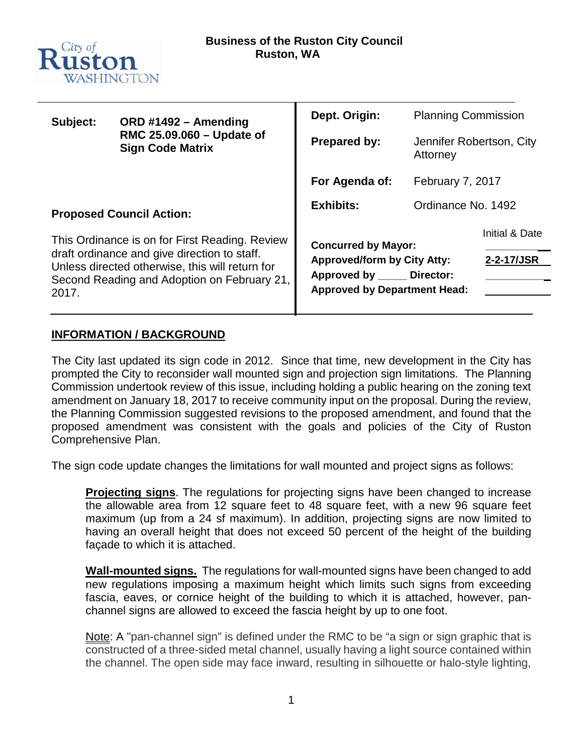

| Subject: | ORD #1492 - Amending                                                                            | Dept. Origin:                                                         | <b>Planning Commission</b>           |                |  |  |
|----------|-------------------------------------------------------------------------------------------------|-----------------------------------------------------------------------|--------------------------------------|----------------|--|--|
|          | RMC 25.09.060 - Update of<br><b>Sign Code Matrix</b>                                            | <b>Prepared by:</b>                                                   | Jennifer Robertson, City<br>Attorney |                |  |  |
|          |                                                                                                 | For Agenda of:                                                        | February 7, 2017                     |                |  |  |
|          | <b>Proposed Council Action:</b>                                                                 | <b>Exhibits:</b>                                                      | Ordinance No. 1492                   |                |  |  |
|          | This Ordinance is on for First Reading. Review                                                  | <b>Concurred by Mayor:</b>                                            |                                      | Initial & Date |  |  |
|          | draft ordinance and give direction to staff.<br>Unless directed otherwise, this will return for | <b>Approved/form by City Atty:</b>                                    |                                      | 2-2-17/JSR     |  |  |
| 2017.    | Second Reading and Adoption on February 21,                                                     | Approved by _____<br>Director:<br><b>Approved by Department Head:</b> |                                      |                |  |  |
|          |                                                                                                 |                                                                       |                                      |                |  |  |

### **INFORMATION / BACKGROUND**

The City last updated its sign code in 2012. Since that time, new development in the City has prompted the City to reconsider wall mounted sign and projection sign limitations. The Planning Commission undertook review of this issue, including holding a public hearing on the zoning text amendment on January 18, 2017 to receive community input on the proposal. During the review, the Planning Commission suggested revisions to the proposed amendment, and found that the proposed amendment was consistent with the goals and policies of the City of Ruston Comprehensive Plan.

The sign code update changes the limitations for wall mounted and project signs as follows:

**Projecting signs**. The regulations for projecting signs have been changed to increase the allowable area from 12 square feet to 48 square feet, with a new 96 square feet maximum (up from a 24 sf maximum). In addition, projecting signs are now limited to having an overall height that does not exceed 50 percent of the height of the building façade to which it is attached.

**Wall-mounted signs.** The regulations for wall-mounted signs have been changed to add new regulations imposing a maximum height which limits such signs from exceeding fascia, eaves, or cornice height of the building to which it is attached, however, panchannel signs are allowed to exceed the fascia height by up to one foot.

Note: A "pan-channel sign" is defined under the RMC to be "a sign or sign graphic that is constructed of a three-sided metal channel, usually having a light source contained within the channel. The open side may face inward, resulting in silhouette or halo-style lighting,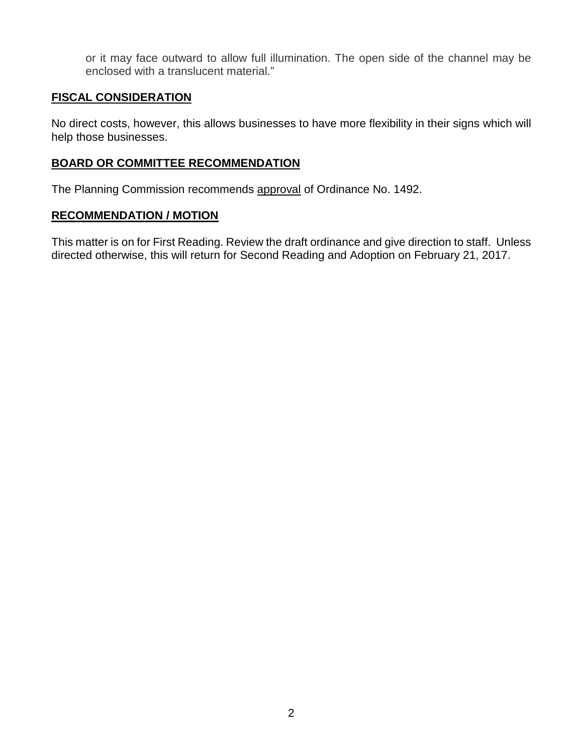or it may face outward to allow full illumination. The open side of the channel may be enclosed with a translucent material."

#### **FISCAL CONSIDERATION**

No direct costs, however, this allows businesses to have more flexibility in their signs which will help those businesses.

#### **BOARD OR COMMITTEE RECOMMENDATION**

The Planning Commission recommends approval of Ordinance No. 1492.

### **RECOMMENDATION / MOTION**

This matter is on for First Reading. Review the draft ordinance and give direction to staff. Unless directed otherwise, this will return for Second Reading and Adoption on February 21, 2017.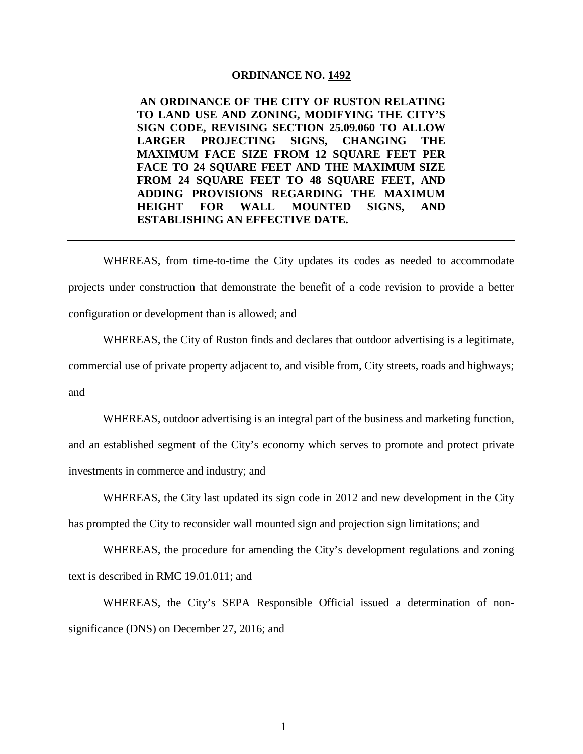#### **ORDINANCE NO. 1492**

**AN ORDINANCE OF THE CITY OF RUSTON RELATING TO LAND USE AND ZONING, MODIFYING THE CITY'S SIGN CODE, REVISING SECTION 25.09.060 TO ALLOW LARGER PROJECTING SIGNS, CHANGING THE MAXIMUM FACE SIZE FROM 12 SQUARE FEET PER FACE TO 24 SQUARE FEET AND THE MAXIMUM SIZE FROM 24 SQUARE FEET TO 48 SQUARE FEET, AND ADDING PROVISIONS REGARDING THE MAXIMUM HEIGHT FOR WALL MOUNTED SIGNS, AND ESTABLISHING AN EFFECTIVE DATE.**

WHEREAS, from time-to-time the City updates its codes as needed to accommodate projects under construction that demonstrate the benefit of a code revision to provide a better configuration or development than is allowed; and

WHEREAS, the City of Ruston finds and declares that outdoor advertising is a legitimate, commercial use of private property adjacent to, and visible from, City streets, roads and highways; and

WHEREAS, outdoor advertising is an integral part of the business and marketing function, and an established segment of the City's economy which serves to promote and protect private investments in commerce and industry; and

WHEREAS, the City last updated its sign code in 2012 and new development in the City has prompted the City to reconsider wall mounted sign and projection sign limitations; and

WHEREAS, the procedure for amending the City's development regulations and zoning text is described in RMC 19.01.011; and

WHEREAS, the City's SEPA Responsible Official issued a determination of nonsignificance (DNS) on December 27, 2016; and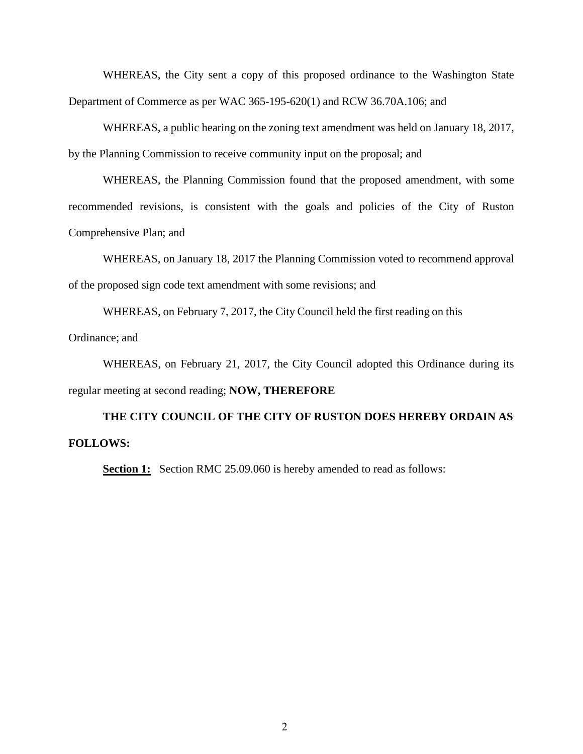WHEREAS, the City sent a copy of this proposed ordinance to the Washington State Department of Commerce as per WAC 365-195-620(1) and RCW 36.70A.106; and

WHEREAS, a public hearing on the zoning text amendment was held on January 18, 2017, by the Planning Commission to receive community input on the proposal; and

WHEREAS, the Planning Commission found that the proposed amendment, with some recommended revisions, is consistent with the goals and policies of the City of Ruston Comprehensive Plan; and

WHEREAS, on January 18, 2017 the Planning Commission voted to recommend approval of the proposed sign code text amendment with some revisions; and

WHEREAS, on February 7, 2017, the City Council held the first reading on this Ordinance; and

WHEREAS, on February 21, 2017, the City Council adopted this Ordinance during its regular meeting at second reading; **NOW, THEREFORE**

# **THE CITY COUNCIL OF THE CITY OF RUSTON DOES HEREBY ORDAIN AS FOLLOWS:**

**Section 1:** Section RMC 25.09.060 is hereby amended to read as follows: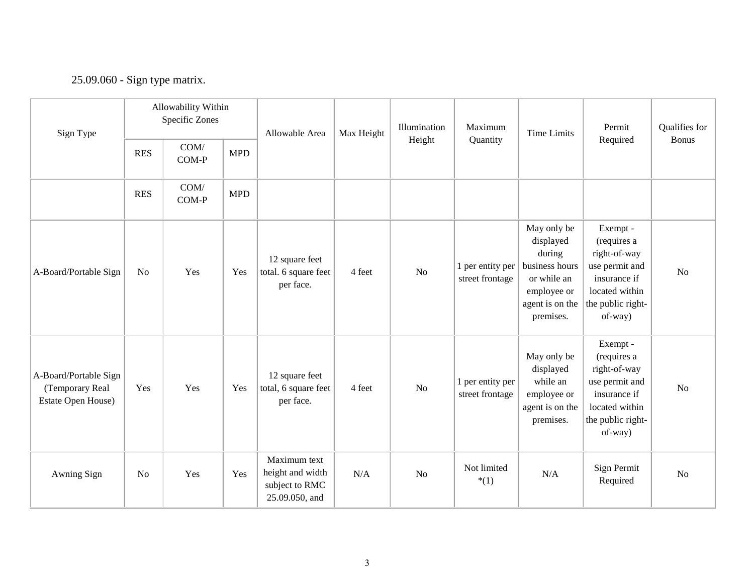## 25.09.060 - Sign type matrix.

| Sign Type                                                      |            | Allowability Within<br>Specific Zones |            | Allowable Area                                                       | Max Height | Illumination   | Maximum                             | Time Limits                                                                                                        | Permit                                                                                                                      | Qualifies for  |
|----------------------------------------------------------------|------------|---------------------------------------|------------|----------------------------------------------------------------------|------------|----------------|-------------------------------------|--------------------------------------------------------------------------------------------------------------------|-----------------------------------------------------------------------------------------------------------------------------|----------------|
|                                                                | <b>RES</b> | COM/<br>COM-P                         | <b>MPD</b> |                                                                      |            | Height         | Quantity                            |                                                                                                                    | Required                                                                                                                    | <b>Bonus</b>   |
|                                                                | <b>RES</b> | COM/<br>COM-P                         | <b>MPD</b> |                                                                      |            |                |                                     |                                                                                                                    |                                                                                                                             |                |
| A-Board/Portable Sign                                          | No         | Yes                                   | Yes        | 12 square feet<br>total. 6 square feet<br>per face.                  | 4 feet     | N <sub>o</sub> | 1 per entity per<br>street frontage | May only be<br>displayed<br>during<br>business hours<br>or while an<br>employee or<br>agent is on the<br>premises. | Exempt -<br>(requires a<br>right-of-way<br>use permit and<br>insurance if<br>located within<br>the public right-<br>of-way) | N <sub>o</sub> |
| A-Board/Portable Sign<br>(Temporary Real<br>Estate Open House) | Yes        | Yes                                   | Yes        | 12 square feet<br>total, 6 square feet<br>per face.                  | 4 feet     | N <sub>o</sub> | 1 per entity per<br>street frontage | May only be<br>displayed<br>while an<br>employee or<br>agent is on the<br>premises.                                | Exempt -<br>(requires a<br>right-of-way<br>use permit and<br>insurance if<br>located within<br>the public right-<br>of-way) | <b>No</b>      |
| Awning Sign                                                    | No         | Yes                                   | Yes        | Maximum text<br>height and width<br>subject to RMC<br>25.09.050, and | N/A        | N <sub>o</sub> | Not limited<br>$*(1)$               | N/A                                                                                                                | Sign Permit<br>Required                                                                                                     | N <sub>o</sub> |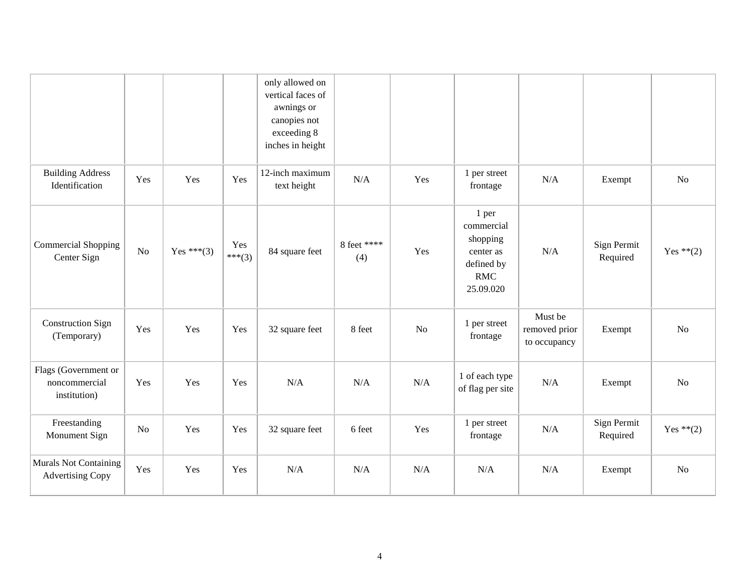|                                                         |                |            |               | only allowed on<br>vertical faces of<br>awnings or<br>canopies not<br>exceeding 8<br>inches in height |                    |     |                                                                                       |                                          |                         |                |
|---------------------------------------------------------|----------------|------------|---------------|-------------------------------------------------------------------------------------------------------|--------------------|-----|---------------------------------------------------------------------------------------|------------------------------------------|-------------------------|----------------|
| <b>Building Address</b><br>Identification               | Yes            | Yes        | Yes           | 12-inch maximum<br>text height                                                                        | N/A                | Yes | 1 per street<br>frontage                                                              | N/A                                      | Exempt                  | N <sub>o</sub> |
| <b>Commercial Shopping</b><br>Center Sign               | N <sub>o</sub> | Yes ***(3) | Yes<br>***(3) | 84 square feet                                                                                        | 8 feet ****<br>(4) | Yes | 1 per<br>commercial<br>shopping<br>center as<br>defined by<br><b>RMC</b><br>25.09.020 | N/A                                      | Sign Permit<br>Required | Yes $**(2)$    |
| <b>Construction Sign</b><br>(Temporary)                 | Yes            | Yes        | Yes           | 32 square feet                                                                                        | 8 feet             | No  | 1 per street<br>frontage                                                              | Must be<br>removed prior<br>to occupancy | Exempt                  | N <sub>o</sub> |
| Flags (Government or<br>noncommercial<br>institution)   | Yes            | Yes        | Yes           | N/A                                                                                                   | N/A                | N/A | 1 of each type<br>of flag per site                                                    | N/A                                      | Exempt                  | N <sub>o</sub> |
| Freestanding<br>Monument Sign                           | No             | Yes        | Yes           | 32 square feet                                                                                        | 6 feet             | Yes | 1 per street<br>frontage                                                              | N/A                                      | Sign Permit<br>Required | Yes $**(2)$    |
| <b>Murals Not Containing</b><br><b>Advertising Copy</b> | Yes            | Yes        | Yes           | N/A                                                                                                   | N/A                | N/A | N/A                                                                                   | N/A                                      | Exempt                  | No             |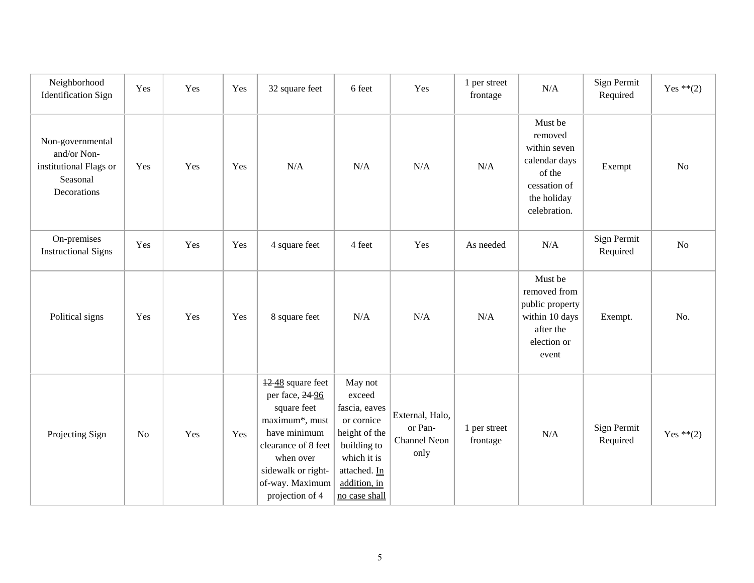| Neighborhood<br><b>Identification Sign</b>                                           | Yes      | Yes | Yes | 32 square feet                                                                                                                                                                       | 6 feet                                                                                                                                           | Yes                                                | 1 per street<br>frontage | N/A                                                                                                          | Sign Permit<br>Required | Yes $**(2)$    |
|--------------------------------------------------------------------------------------|----------|-----|-----|--------------------------------------------------------------------------------------------------------------------------------------------------------------------------------------|--------------------------------------------------------------------------------------------------------------------------------------------------|----------------------------------------------------|--------------------------|--------------------------------------------------------------------------------------------------------------|-------------------------|----------------|
| Non-governmental<br>and/or Non-<br>institutional Flags or<br>Seasonal<br>Decorations | Yes      | Yes | Yes | N/A                                                                                                                                                                                  | N/A                                                                                                                                              | N/A                                                | N/A                      | Must be<br>removed<br>within seven<br>calendar days<br>of the<br>cessation of<br>the holiday<br>celebration. | Exempt                  | N <sub>o</sub> |
| On-premises<br><b>Instructional Signs</b>                                            | Yes      | Yes | Yes | 4 square feet                                                                                                                                                                        | 4 feet                                                                                                                                           | Yes                                                | As needed                | N/A                                                                                                          | Sign Permit<br>Required | N <sub>o</sub> |
| Political signs                                                                      | Yes      | Yes | Yes | 8 square feet                                                                                                                                                                        | N/A                                                                                                                                              | N/A                                                | N/A                      | Must be<br>removed from<br>public property<br>within 10 days<br>after the<br>election or<br>event            | Exempt.                 | No.            |
| Projecting Sign                                                                      | $\rm No$ | Yes | Yes | 1248 square feet<br>per face, 24 96<br>square feet<br>maximum*, must<br>have minimum<br>clearance of 8 feet<br>when over<br>sidewalk or right-<br>of-way. Maximum<br>projection of 4 | May not<br>exceed<br>fascia, eaves<br>or cornice<br>height of the<br>building to<br>which it is<br>attached. In<br>addition, in<br>no case shall | External, Halo,<br>or Pan-<br>Channel Neon<br>only | 1 per street<br>frontage | N/A                                                                                                          | Sign Permit<br>Required | Yes $**(2)$    |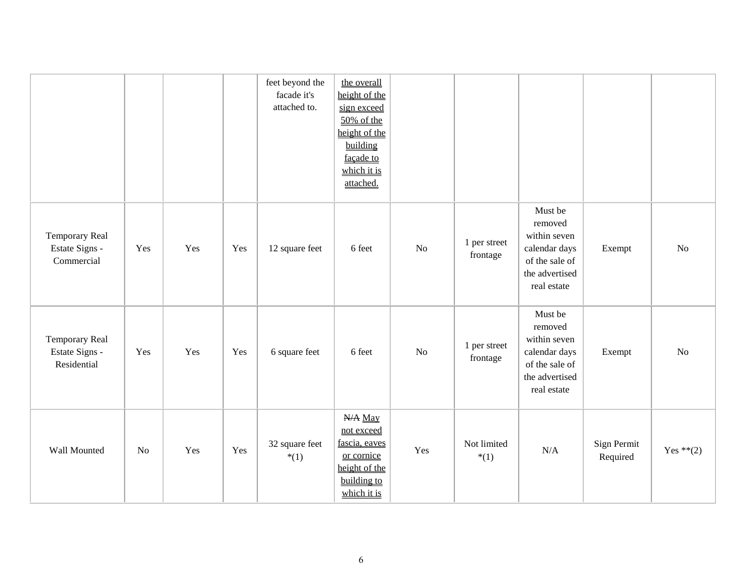|                                                       |     |     |     | feet beyond the<br>facade it's<br>attached to. | the overall<br>height of the<br>sign exceed<br>50% of the<br>height of the<br>building<br>façade to<br>which it is<br>attached. |     |                          |                                                                                                        |                         |             |
|-------------------------------------------------------|-----|-----|-----|------------------------------------------------|---------------------------------------------------------------------------------------------------------------------------------|-----|--------------------------|--------------------------------------------------------------------------------------------------------|-------------------------|-------------|
| <b>Temporary Real</b><br>Estate Signs -<br>Commercial | Yes | Yes | Yes | 12 square feet                                 | 6 feet                                                                                                                          | No  | 1 per street<br>frontage | Must be<br>removed<br>within seven<br>calendar days<br>of the sale of<br>the advertised<br>real estate | Exempt                  | No          |
| Temporary Real<br>Estate Signs -<br>Residential       | Yes | Yes | Yes | 6 square feet                                  | 6 feet                                                                                                                          | No  | 1 per street<br>frontage | Must be<br>removed<br>within seven<br>calendar days<br>of the sale of<br>the advertised<br>real estate | Exempt                  | No          |
| Wall Mounted                                          | No  | Yes | Yes | 32 square feet<br>$*(1)$                       | N/A May<br>not exceed<br>fascia, eaves<br>or cornice<br>height of the<br>building to<br>which it is                             | Yes | Not limited<br>$*(1)$    | N/A                                                                                                    | Sign Permit<br>Required | Yes $**(2)$ |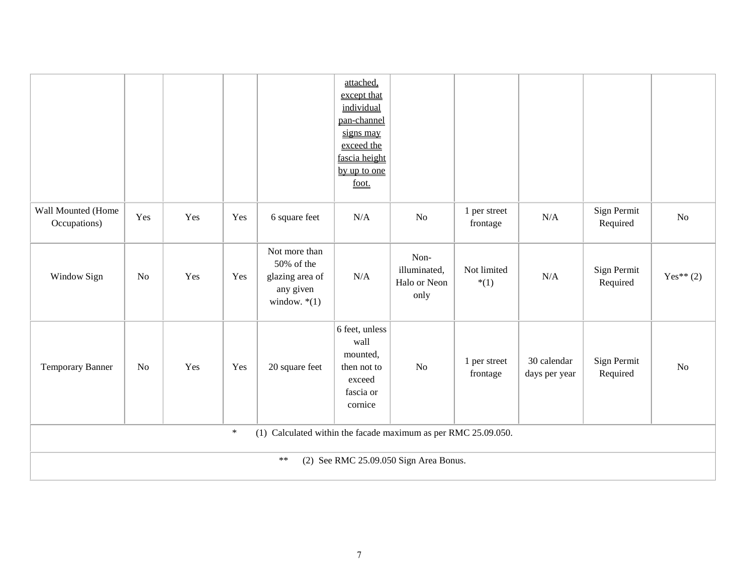|                                                                          |                |     |     |                                                                               | attached,<br>except that<br>individual<br>pan-channel<br>signs may<br>exceed the<br>fascia height<br>by up to one<br>foot. |                                              |                          |                              |                         |                |
|--------------------------------------------------------------------------|----------------|-----|-----|-------------------------------------------------------------------------------|----------------------------------------------------------------------------------------------------------------------------|----------------------------------------------|--------------------------|------------------------------|-------------------------|----------------|
| Wall Mounted (Home<br>Occupations)                                       | Yes            | Yes | Yes | 6 square feet                                                                 | N/A                                                                                                                        | No                                           | 1 per street<br>frontage | N/A                          | Sign Permit<br>Required | N <sub>o</sub> |
| Window Sign                                                              | N <sub>o</sub> | Yes | Yes | Not more than<br>50% of the<br>glazing area of<br>any given<br>window. $*(1)$ | N/A                                                                                                                        | Non-<br>illuminated,<br>Halo or Neon<br>only | Not limited<br>$*(1)$    | N/A                          | Sign Permit<br>Required | Yes** $(2)$    |
| Temporary Banner                                                         | No             | Yes | Yes | 20 square feet                                                                | 6 feet, unless<br>wall<br>mounted,<br>then not to<br>exceed<br>fascia or<br>cornice                                        | N <sub>o</sub>                               | 1 per street<br>frontage | 30 calendar<br>days per year | Sign Permit<br>Required | No             |
| $\ast$<br>(1) Calculated within the facade maximum as per RMC 25.09.050. |                |     |     |                                                                               |                                                                                                                            |                                              |                          |                              |                         |                |
| $***$<br>(2) See RMC 25.09.050 Sign Area Bonus.                          |                |     |     |                                                                               |                                                                                                                            |                                              |                          |                              |                         |                |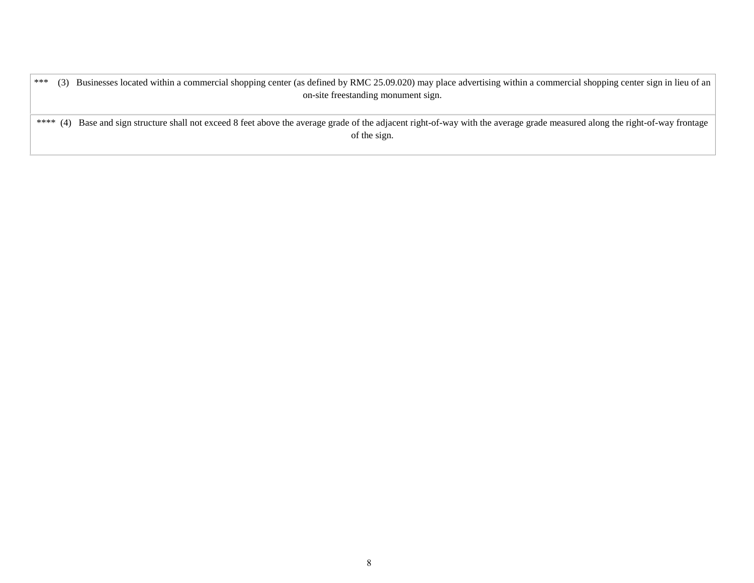\*\*\* (3) Businesses located within a commercial shopping center (as defined by RMC 25.09.020) may place advertising within a commercial shopping center sign in lieu of an on-site freestanding monument sign.

\*\*\*\* (4) Base and sign structure shall not exceed 8 feet above the average grade of the adjacent right-of-way with the average grade measured along the right-of-way frontage of the sign.